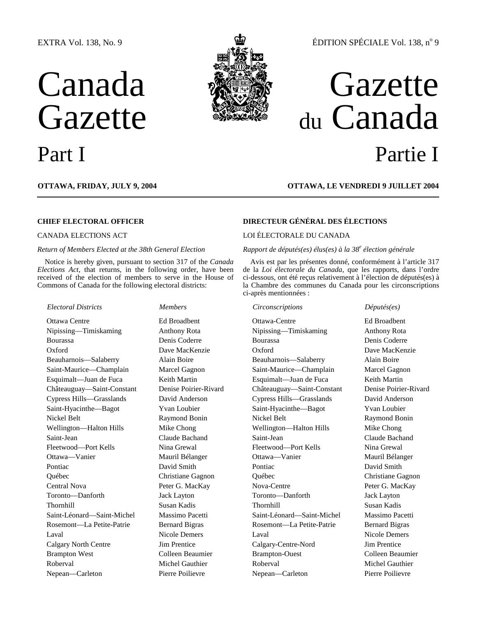### EXTRA Vol. 138, No. 9

# Canada Gazette



## ÉDITION SPÉCIALE Vol. 138, nº 9

## Gazette du Canada Part I Partie I

## **OTTAWA, FRIDAY, JULY 9, 2004 OTTAWA, LE VENDREDI 9 JUILLET 2004**

#### *Return of Members Elected at the 38th General Election*

Notice is hereby given, pursuant to section 317 of the *Canada Elections Act*, that returns, in the following order, have been received of the election of members to serve in the House of Commons of Canada for the following electoral districts:

#### *Electoral Districts Members Circonscriptions Députés(es)*

## **CHIEF ELECTORAL OFFICER DIRECTEUR GÉNÉRAL DES ÉLECTIONS**

### CANADA ELECTIONS ACT LOI ÉLECTORALE DU CANADA

#### *Rapport de députés(es) élus(es) à la 38<sup>e</sup> élection générale*

Avis est par les présentes donné, conformément à l'article 317 de la *Loi électorale du Canada*, que les rapports, dans l'ordre ci-dessous, ont été reçus relativement à l'élection de députés(es) à la Chambre des communes du Canada pour les circonscriptions ci-après mentionnées :

Ottawa Centre Ed Broadbent Ottawa-Centre Ed Broadbent Nipissing—Timiskaming Anthony Rota Nipissing—Timiskaming Anthony Rota Bourassa Denis Coderre Bourassa Denis Coderre Oxford Dave MacKenzie Oxford Dave MacKenzie Beauharnois—Salaberry Alain Boire Beauharnois—Salaberry Alain Boire Saint-Maurice—Champlain Marcel Gagnon Saint-Maurice—Champlain Marcel Gagnon Esquimalt—Juan de Fuca Keith Martin Esquimalt—Juan de Fuca Keith Martin Châteauguay—Saint-Constant Denise Poirier-Rivard Châteauguay—Saint-Constant Denise Poirier-Rivard Cypress Hills—Grasslands David Anderson Cypress Hills—Grasslands David Anderson Saint-Hyacinthe—Bagot Yvan Loubier Saint-Hyacinthe—Bagot Yvan Loubier Nickel Belt **Raymond Bonin** Nickel Belt Raymond Bonin Raymond Bonin Raymond Bonin Wellington—Halton Hills Mike Chong Wellington—Halton Hills Mike Chong Saint-Jean Claude Bachand Saint-Jean Claude Bachand Fleetwood—Port Kells Nina Grewal Fleetwood—Port Kells Nina Grewal Ottawa—Vanier Mauril Bélanger Ottawa—Vanier Mauril Bélanger Pontiac **David Smith** David Smith **Pontiac** David Smith **Pontiac** David Smith Québec Christiane Gagnon Québec Christiane Gagnon Central Nova Peter G. MacKay Nova-Centre Peter G. MacKay Toronto—Danforth Jack Layton Toronto—Danforth Jack Layton Thornhill Susan Kadis Thornhill Susan Kadis Saint-Léonard—Saint-Michel Massimo Pacetti Saint-Léonard—Saint-Michel Massimo Pacetti Rosemont—La Petite-Patrie Bernard Bigras Rosemont—La Petite-Patrie Bernard Bigras Laval Nicole Demers Laval Nicole Demers Calgary North Centre Jim Prentice Calgary-Centre-Nord Jim Prentice Brampton West Colleen Beaumier Brampton-Ouest Colleen Beaumier Roberval Michel Gauthier Roberval Michel Gauthier Roberval Michel Gauthier Nepean—Carleton Pierre Poilievre Nepean—Carleton Pierre Poilievre